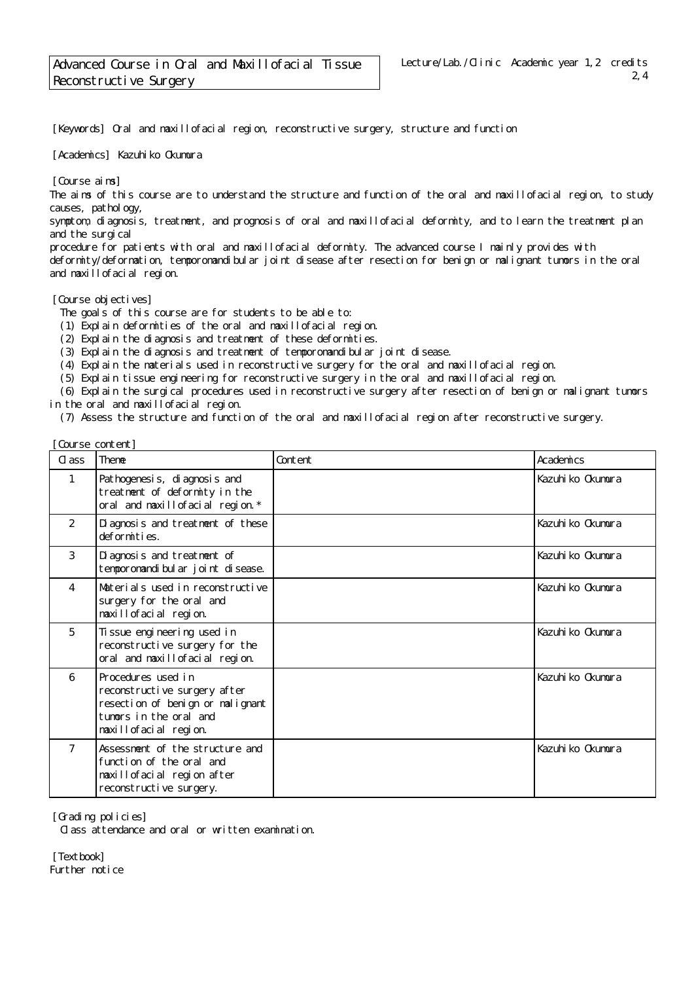[Keywords] Oral and maxillofacial region, reconstructive surgery, structure and function

[Academics] Kazuhiko Okumura

[Course aims]

The aims of this course are to understand the structure and function of the oral and maxillofacial region, to study causes, pathology,

symptom, diagnosis, treatment, and prognosis of oral and maxillofacial deformity, and to learn the treatment plan and the surgical

procedure for patients with oral and maxillofacial deformity. The advanced course I mainly provides with deformity/deformation, temporomandibular joint disease after resection for benign or malignant tumors in the oral and maxillofacial region.

## [Course objectives]

The goals of this course are for students to be able to:

(1) Explain deformities of the oral and maxillofacial region.

(2) Explain the diagnosis and treatment of these deformities.

(3) Explain the diagnosis and treatment of temporomandibular joint disease.

(4) Explain the materials used in reconstructive surgery for the oral and maxillofacial region.

(5) Explain tissue engineering for reconstructive surgery in the oral and maxillofacial region.

 (6) Explain the surgical procedures used in reconstructive surgery after resection of benign or malignant tumors in the oral and maxillofacial region.

(7) Assess the structure and function of the oral and maxillofacial region after reconstructive surgery.

| [Course content] |                                                                                                                                           |         |                   |
|------------------|-------------------------------------------------------------------------------------------------------------------------------------------|---------|-------------------|
| $\alpha$ ass     | Theme                                                                                                                                     | Content | Academics         |
| 1                | Pathogenesis, di agnosis and<br>treatment of deformity in the<br>oral and maxillofacial region. *                                         |         | Kazuhi ko Okumura |
| 2                | Di agnosis and treatment of these<br>deformities.                                                                                         |         | Kazuhi ko Okumura |
| 3                | Di agnosis and treatment of<br>tempor omandi bul ar j oi nt di sease.                                                                     |         | Kazuhi ko Okumura |
| 4                | Materials used in reconstructive<br>surgery for the oral and<br>maxillofacial region.                                                     |         | Kazuhi ko Okumura |
| 5                | Ti ssue engi neering used in<br>reconstructive surgery for the<br>oral and maxillofacial region.                                          |         | Kazuhi ko Okumura |
| 6                | Procedures used in<br>reconstructive surgery after<br>resection of benign or malignant<br>tumors in the oral and<br>maxillofacial region. |         | Kazuhi ko Okumura |
| 7                | Assessment of the structure and<br>function of the oral and<br>maxillofacial region after<br>reconstructive surgery.                      |         | Kazuhi ko Okumura |

[Grading policies]

Class attendance and oral or written examination.

[Textbook] Further notice